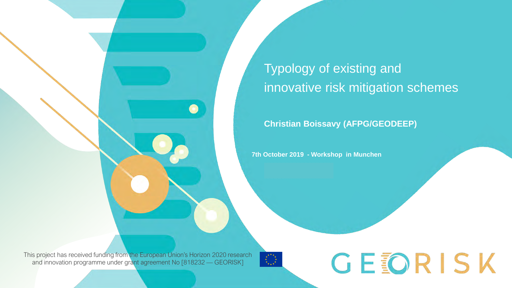## **Typology of existing and** innovative risk mitigation schemes

**Christian Boissavy (AFPG/GEODEEP)**

**7th October 2019 - Workshop in Munchen**

This project has received funding from the European Union's Horizon 2020 research and innovation programme under grant agreement No [818232 — GEORISK]

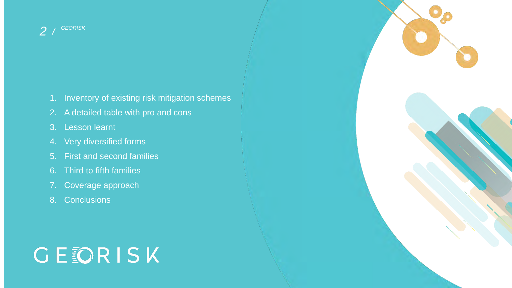- 1. Inventory of existing risk mitigation schemes
- 2. A detailed table with pro and cons
- 3. Lesson learnt
- 4. Very diversified forms
- 5. First and second families
- 6. Third to fifth families
- 7. Coverage approach
- 8. Conclusions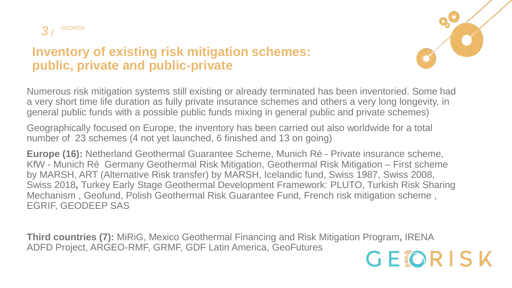

#### **Inventory of existing risk mitigation schemes: public, private and public-private**

Numerous risk mitigation systems still existing or already terminated has been inventoried. Some had a very short time life duration as fully private insurance schemes and others a very long longevity, in general public funds with a possible public funds mixing in general public and private schemes)

Geographically focused on Europe, the inventory has been carried out also worldwide for a total number of 23 schemes (4 not yet launched, 6 finished and 13 on going)

**Europe (16):** Netherland Geothermal Guarantee Scheme, Munich Ré - Private insurance scheme, KfW - Munich Ré Germany Geothermal Risk Mitigation, Geothermal Risk Mitigation – First scheme by MARSH, ART (Alternative Risk transfer) by MARSH, Icelandic fund, Swiss 1987, Swiss 2008, Swiss 2018**,** Turkey Early Stage Geothermal Development Framework: PLUTO, Turkish Risk Sharing Mechanism , Geofund, Polish Geothermal Risk Guarantee Fund, French risk mitigation scheme , EGRIF, GEODEEP SAS

**Third countries (7):** MiRiG, Mexico Geothermal Financing and Risk Mitigation Program**,** IRENA ADFD Project, ARGEO-RMF, GRMF, GDF Latin America, GeoFutures

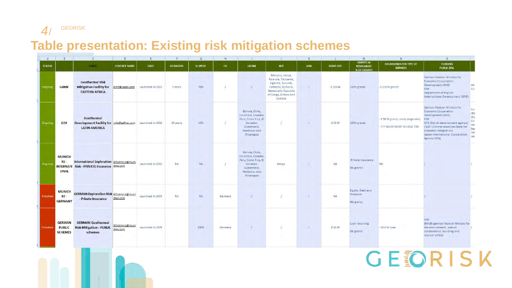#### **Table presentation: Existing risk mitigation schemes**

| A             |                                                  | $\mathcal{C}$                                                                                | D                         |                  |                 | G         |         |                                                                                                                       |                                                                                                                                           |             |                  | M                                                    | N                                                                 | $\circ$                                                                                                                                                                                                                                           |                                                      |
|---------------|--------------------------------------------------|----------------------------------------------------------------------------------------------|---------------------------|------------------|-----------------|-----------|---------|-----------------------------------------------------------------------------------------------------------------------|-------------------------------------------------------------------------------------------------------------------------------------------|-------------|------------------|------------------------------------------------------|-------------------------------------------------------------------|---------------------------------------------------------------------------------------------------------------------------------------------------------------------------------------------------------------------------------------------------|------------------------------------------------------|
| <b>STATUS</b> |                                                  | <b>FUND</b>                                                                                  | <b>CONTACT NAME</b>       | <b>DATE</b>      | <b>DURATION</b> | % SPENT   | EU      | LATAM                                                                                                                 | AFR                                                                                                                                       | <b>ASIA</b> | <b>FUND SIZE</b> | <b>GRANTS or</b><br><b>REVOLVING?</b><br>% OF GRANTS | <b>BREAKDOWN PER TYPE OF</b><br><b>SERVICES</b>                   | <b>FUNDERS</b><br><b>PUBLIC DFIS</b>                                                                                                                                                                                                              |                                                      |
| Ongoing       | <b>GRMF</b>                                      | <b>Geothermal Risk</b><br><b>Mitigation Facility for</b><br><b>EASTERN AFRICA</b>            | grmf@roedl.com            | Launched in 2012 | 7 years         | 70%       |         |                                                                                                                       | Ethiopia, Kenya,<br>Rwanda, Tanzania,<br>Uganda, Burundi,<br>Comoros, Djibouti,<br>Democratic Republic<br>of Congo, Eritrea and<br>Zambia |             | \$115 M          | 100% grants                                          | -\$115 M grants                                                   | German Federal Ministry for<br><b>Economic Cooperation</b><br>Development (BMZ)<br><b>KfW</b><br>Department of English<br>International Development (DFID)                                                                                        | Afri<br>EU                                           |
| Ongoing       | <b>GDF</b>                                       | Geothermal<br>Development Facility for info@gdflac.com<br><b>LATIN AMERICA</b>               |                           | Launched in 2016 | 10 years        | 44%       |         | Bolivia, Chile,<br>Colombia, Ecuador,<br>Peru, Costa Rica, El<br>Salvador,<br>Guatemala,<br>Honduras and<br>Nicaragua |                                                                                                                                           |             | € 50 M           | 100% grants                                          | - € 50 M grants, early stage only<br>- ??? INVESTMENT VEHICLE TOO | German Federal Ministry for<br><b>Economic Cooperation</b><br>Development (BMZ)<br>KfW<br>AFD (french development agency)<br><b>CABEI (Central American Bank for</b><br>Economic Integration)<br>Japan International Cooperation<br>Agency (JICA) | Eur<br>EIE<br>Wo<br>EU<br>Inte<br>Bar<br>CAF<br>lati |
| Ongoing       | <b>MUNICH</b><br>RE-<br>ONAL                     | International Exploration MToennis@muni<br><b>NTERNATI Risk - PRIVATE Insurance chre.com</b> |                           | Launched in 2015 | <b>NA</b>       | <b>NA</b> |         | Bolivia, Chile,<br>Colombia, Ecuador,<br>Peru, Costa Rica, El<br>Salvador.<br>Guatemala,<br>Honduras and<br>Nicaragua | Kenya                                                                                                                                     |             | <b>NA</b>        | Private insurance<br>0% grants                       | <b>NA</b>                                                         |                                                                                                                                                                                                                                                   |                                                      |
| Finished      | <b>MUNICH</b><br>$RE -$<br><b>GERMANY</b>        | <b>GERMAN Exploration Risk MToennis@muni</b><br>- Private Insurance                          | chre.com                  | Launched in 2003 | <b>NA</b>       | NA        | Germany |                                                                                                                       |                                                                                                                                           | $\prime$    | <b>NA</b>        | Equity, Debt and<br>Premium<br>0% grants             |                                                                   |                                                                                                                                                                                                                                                   |                                                      |
| Finished      | <b>GERMAN</b><br><b>PUBLIC</b><br><b>SCHEMES</b> | <b>GERMAN Geothermal</b><br><b>Risk Mitigation - PUBLIC</b><br>schemes                       | MToennis@muni<br>chre.com | Launched in 2009 |                 | 100%      | Germany |                                                                                                                       |                                                                                                                                           | $\prime$    | € 60 M           | Loan revolving<br>0% grants                          | $-60 \text{ E M}$ loan                                            | <b>KfW</b><br><b>BMUB</b> (german federal Ministry for<br>the environment, nature<br>conservation, building and<br>nuclear safety)                                                                                                                |                                                      |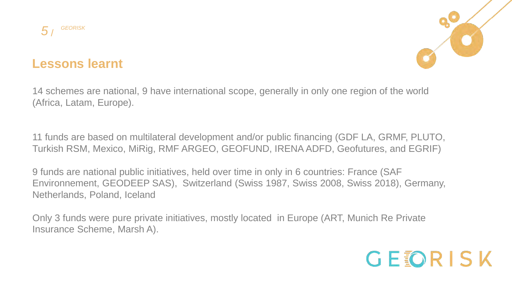



#### **Lessons learnt**

14 schemes are national, 9 have international scope, generally in only one region of the world (Africa, Latam, Europe).

11 funds are based on multilateral development and/or public financing (GDF LA, GRMF, PLUTO, Turkish RSM, Mexico, MiRig, RMF ARGEO, GEOFUND, IRENA ADFD, Geofutures, and EGRIF)

9 funds are national public initiatives, held over time in only in 6 countries: France (SAF Environnement, GEODEEP SAS), Switzerland (Swiss 1987, Swiss 2008, Swiss 2018), Germany, Netherlands, Poland, Iceland

Only 3 funds were pure private initiatives, mostly located in Europe (ART, Munich Re Private Insurance Scheme, Marsh A).

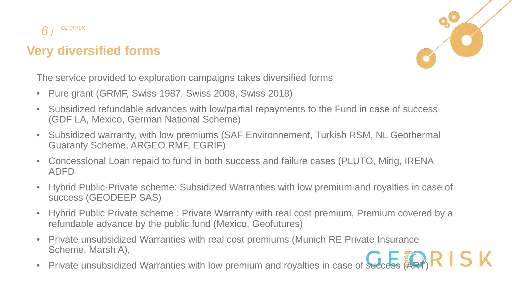

## **Very diversified forms**



The service provided to exploration campaigns takes diversified forms

- Pure grant (GRMF, Swiss 1987, Swiss 2008, Swiss 2018)
- Subsidized refundable advances with low/partial repayments to the Fund in case of success (GDF LA, Mexico, German National Scheme)
- Subsidized warranty, with low premiums (SAF Environnement, Turkish RSM, NL Geothermal Guaranty Scheme, ARGEO RMF, EGRIF)
- Concessional Loan repaid to fund in both success and failure cases (PLUTO, Mirig, IRENA ADFD
- Hybrid Public-Private scheme: Subsidized Warranties with low premium and royalties in case of success (GEODEEP SAS)
- Hybrid Public Private scheme : Private Warranty with real cost premium, Premium covered by a refundable advance by the public fund (Mexico, Geofutures)
- Private unsubsidized Warranties with real cost premiums (Munich RE Private Insurance Scheme, Marsh A),
- Private unsubsidized Warranties with low premium and royalties in case of success  $\overline{A}(\overline{A})R \mathbf{I}$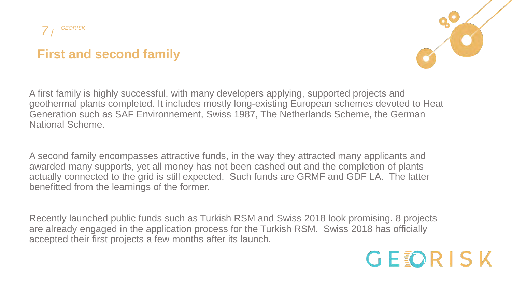## **First and second family**



A first family is highly successful, with many developers applying, supported projects and geothermal plants completed. It includes mostly long-existing European schemes devoted to Heat Generation such as SAF Environnement, Swiss 1987, The Netherlands Scheme, the German National Scheme.

A second family encompasses attractive funds, in the way they attracted many applicants and awarded many supports, yet all money has not been cashed out and the completion of plants actually connected to the grid is still expected. Such funds are GRMF and GDF LA. The latter benefitted from the learnings of the former.

Recently launched public funds such as Turkish RSM and Swiss 2018 look promising. 8 projects are already engaged in the application process for the Turkish RSM. Swiss 2018 has officially accepted their first projects a few months after its launch.

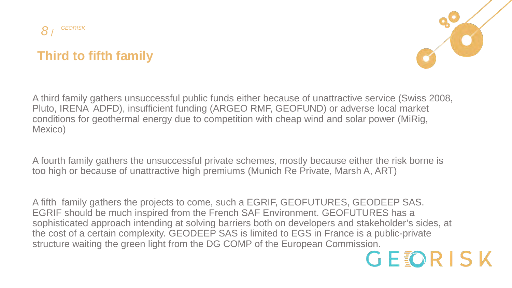

## **Third to fifth family**



A third family gathers unsuccessful public funds either because of unattractive service (Swiss 2008, Pluto, IRENA ADFD), insufficient funding (ARGEO RMF, GEOFUND) or adverse local market conditions for geothermal energy due to competition with cheap wind and solar power (MiRig, Mexico)

A fourth family gathers the unsuccessful private schemes, mostly because either the risk borne is too high or because of unattractive high premiums (Munich Re Private, Marsh A, ART)

A fifth family gathers the projects to come, such a EGRIF, GEOFUTURES, GEODEEP SAS. EGRIF should be much inspired from the French SAF Environment. GEOFUTURES has a sophisticated approach intending at solving barriers both on developers and stakeholder's sides, at the cost of a certain complexity. GEODEEP SAS is limited to EGS in France is a public-private structure waiting the green light from the DG COMP of the European Commission.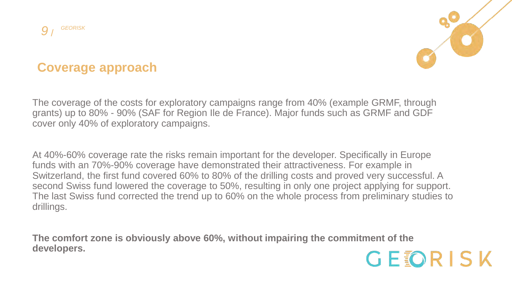



## **Coverage approach**

The coverage of the costs for exploratory campaigns range from 40% (example GRMF, through grants) up to 80% - 90% (SAF for Region Ile de France). Major funds such as GRMF and GDF cover only 40% of exploratory campaigns.

At 40%-60% coverage rate the risks remain important for the developer. Specifically in Europe funds with an 70%-90% coverage have demonstrated their attractiveness. For example in Switzerland, the first fund covered 60% to 80% of the drilling costs and proved very successful. A second Swiss fund lowered the coverage to 50%, resulting in only one project applying for support. The last Swiss fund corrected the trend up to 60% on the whole process from preliminary studies to drillings.

**The comfort zone is obviously above 60%, without impairing the commitment of the developers.**

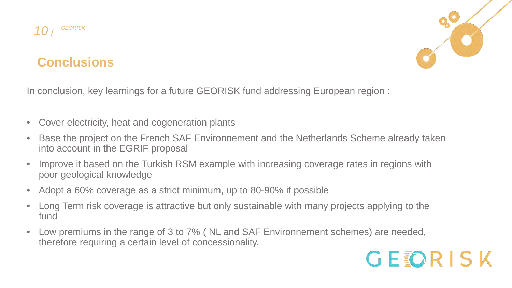



#### **Conclusions**

In conclusion, key learnings for a future GEORISK fund addressing European region :

- Cover electricity, heat and cogeneration plants
- Base the project on the French SAF Environnement and the Netherlands Scheme already taken into account in the EGRIF proposal
- Improve it based on the Turkish RSM example with increasing coverage rates in regions with poor geological knowledge
- Adopt a 60% coverage as a strict minimum, up to 80-90% if possible
- Long Term risk coverage is attractive but only sustainable with many projects applying to the fund
- Low premiums in the range of 3 to 7% ( NL and SAF Environnement schemes) are needed, therefore requiring a certain level of concessionality.

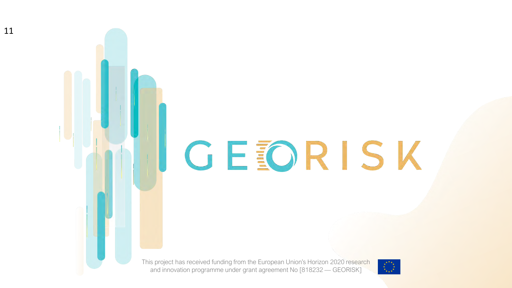# UCEORISK

This project has received funding from the European Union's Horizon 2020 research and innovation programme under grant agreement No [818232 — GEORISK]



11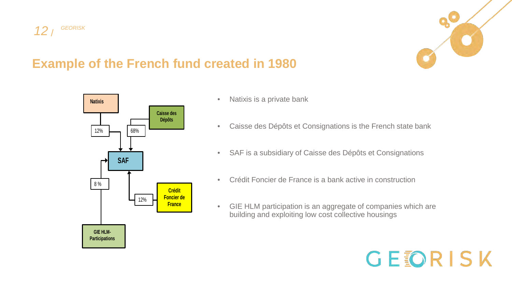



GEORISK

### **Example of the French fund created in 1980**



- Natixis is a private bank
- Caisse des Dépôts et Consignations is the French state bank
- SAF is a subsidiary of Caisse des Dépôts et Consignations
- Crédit Foncier de France is a bank active in construction
- GIE HLM participation is an aggregate of companies which are building and exploiting low cost collective housings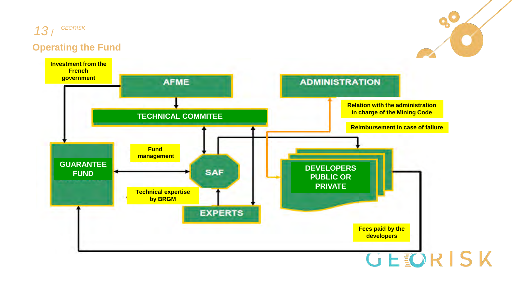#### / *GEORISK* **Operating the Fund** *13*